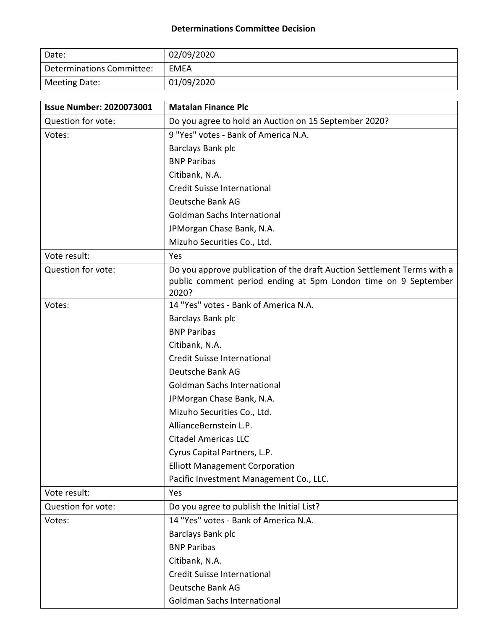## **Determinations Committee Decision**

| Date:                     | 02/09/2020 |
|---------------------------|------------|
| Determinations Committee: | EMEA       |
| Meeting Date:             | 01/09/2020 |

| <b>Issue Number: 2020073001</b> | <b>Matalan Finance Plc</b>                                                                                                                         |
|---------------------------------|----------------------------------------------------------------------------------------------------------------------------------------------------|
| Question for vote:              | Do you agree to hold an Auction on 15 September 2020?                                                                                              |
| Votes:                          | 9 "Yes" votes - Bank of America N.A.                                                                                                               |
|                                 | Barclays Bank plc                                                                                                                                  |
|                                 | <b>BNP Paribas</b>                                                                                                                                 |
|                                 | Citibank, N.A.                                                                                                                                     |
|                                 | <b>Credit Suisse International</b>                                                                                                                 |
|                                 | Deutsche Bank AG                                                                                                                                   |
|                                 | <b>Goldman Sachs International</b>                                                                                                                 |
|                                 | JPMorgan Chase Bank, N.A.                                                                                                                          |
|                                 | Mizuho Securities Co., Ltd.                                                                                                                        |
| Vote result:                    | Yes                                                                                                                                                |
| Question for vote:              | Do you approve publication of the draft Auction Settlement Terms with a<br>public comment period ending at 5pm London time on 9 September<br>2020? |
| Votes:                          | 14 "Yes" votes - Bank of America N.A.                                                                                                              |
|                                 | Barclays Bank plc                                                                                                                                  |
|                                 | <b>BNP Paribas</b>                                                                                                                                 |
|                                 | Citibank, N.A.                                                                                                                                     |
|                                 | Credit Suisse International                                                                                                                        |
|                                 | Deutsche Bank AG                                                                                                                                   |
|                                 | <b>Goldman Sachs International</b>                                                                                                                 |
|                                 | JPMorgan Chase Bank, N.A.                                                                                                                          |
|                                 | Mizuho Securities Co., Ltd.                                                                                                                        |
|                                 | AllianceBernstein L.P.                                                                                                                             |
|                                 | <b>Citadel Americas LLC</b>                                                                                                                        |
|                                 | Cyrus Capital Partners, L.P.                                                                                                                       |
|                                 | <b>Elliott Management Corporation</b>                                                                                                              |
|                                 | Pacific Investment Management Co., LLC.                                                                                                            |
| Vote result:                    | Yes                                                                                                                                                |
| Question for vote:              | Do you agree to publish the Initial List?                                                                                                          |
| Votes:                          | 14 "Yes" votes - Bank of America N.A.                                                                                                              |
|                                 | Barclays Bank plc                                                                                                                                  |
|                                 | <b>BNP Paribas</b>                                                                                                                                 |
|                                 | Citibank, N.A.                                                                                                                                     |
|                                 | Credit Suisse International                                                                                                                        |
|                                 | Deutsche Bank AG                                                                                                                                   |
|                                 | <b>Goldman Sachs International</b>                                                                                                                 |

 $\overline{\phantom{a}}$